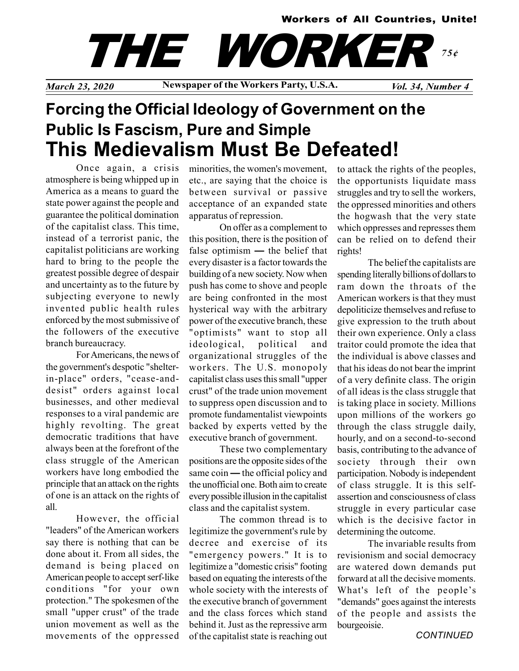#### Workers of All Countries, Unite!



March 23, 2020 Newspaper of the Workers Party, U.S.A. Vol. 34, Number 4

# Forcing the Official Ideology of Government on the Public Is Fascism, Pure and Simple This Medievalism Must Be Defeated!

Once again, a crisis atmosphere is being whipped up in America as a means to guard the state power against the people and guarantee the political domination of the capitalist class. This time, instead of a terrorist panic, the capitalist politicians are working hard to bring to the people the greatest possible degree of despair and uncertainty as to the future by subjecting everyone to newly invented public health rules enforced by the most submissive of the followers of the executive branch bureaucracy.

For Americans, the news of the government's despotic "shelterin-place" orders, "cease-anddesist" orders against local businesses, and other medieval responses to a viral pandemic are highly revolting. The great democratic traditions that have always been at the forefront of the class struggle of the American workers have long embodied the principle that an attack on the rights of one is an attack on the rights of all.

However, the official "leaders" of the American workers say there is nothing that can be done about it. From all sides, the demand is being placed on American people to accept serf-like conditions "for your own protection." The spokesmen of the small "upper crust" of the trade union movement as well as the movements of the oppressed minorities, the women's movement, etc., are saying that the choice is between survival or passive acceptance of an expanded state apparatus of repression.

On offer as a complement to this position, there is the position of false optimism — the belief that every disaster is a factor towards the building of a new society. Now when push has come to shove and people are being confronted in the most hysterical way with the arbitrary power of the executive branch, these "optimists" want to stop all ideological, political and organizational struggles of the workers. The U.S. monopoly capitalist class uses this small "upper crust" of the trade union movement to suppress open discussion and to promote fundamentalist viewpoints backed by experts vetted by the executive branch of government.

These two complementary positions are the opposite sides of the same coin — the official policy and the unofficial one. Both aim to create every possible illusion in the capitalist class and the capitalist system.

The common thread is to legitimize the government's rule by decree and exercise of its "emergency powers." It is to legitimize a "domestic crisis" footing based on equating the interests of the whole society with the interests of the executive branch of government and the class forces which stand behind it. Just as the repressive arm of the capitalist state is reaching out

to attack the rights of the peoples, the opportunists liquidate mass struggles and try to sell the workers, the oppressed minorities and others the hogwash that the very state which oppresses and represses them can be relied on to defend their rights!

The belief the capitalists are spending literally billions of dollars to ram down the throats of the American workers is that they must depoliticize themselves and refuse to give expression to the truth about their own experience. Only a class traitor could promote the idea that the individual is above classes and that his ideas do not bear the imprint of a very definite class. The origin of all ideas is the class struggle that is taking place in society. Millions upon millions of the workers go through the class struggle daily, hourly, and on a second-to-second basis, contributing to the advance of society through their own participation. Nobody is independent of class struggle. It is this selfassertion and consciousness of class struggle in every particular case which is the decisive factor in determining the outcome.

The invariable results from revisionism and social democracy are watered down demands put forward at all the decisive moments. What's left of the people's "demands" goes against the interests of the people and assists the bourgeoisie.